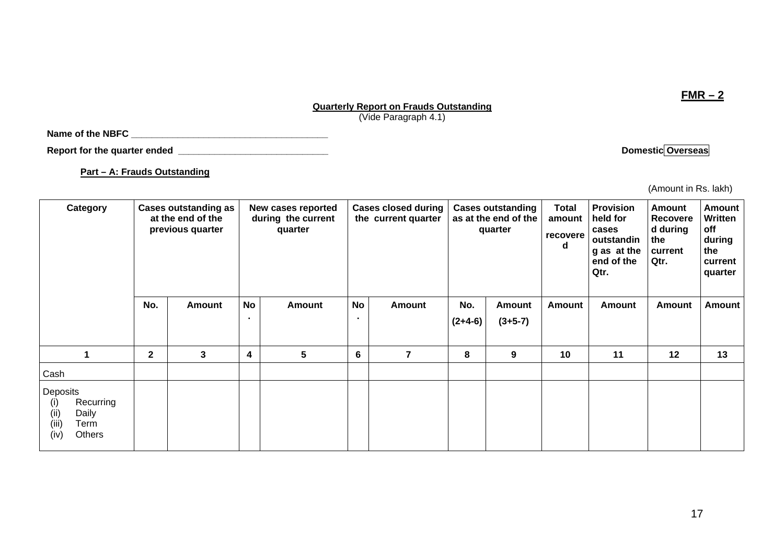### **Quarterly Report on Frauds Outstanding** (Vide Paragraph 4.1)

**Name of the NBFC \_\_\_\_\_\_\_\_\_\_\_\_\_\_\_\_\_\_\_\_\_\_\_\_\_\_\_\_\_\_\_\_\_\_\_\_\_\_** 

**Report for the quarter ended** <br> **Report for the quarter ended Domestic Overseas** 

**Part – A: Frauds Outstanding**

(Amount in Rs. lakh)

| Category                                                                         | <b>Cases outstanding as</b><br>at the end of the<br>previous quarter |        | New cases reported<br>during the current<br>quarter |               |                 | <b>Cases closed during</b><br>the current quarter |                  | <b>Cases outstanding</b><br>as at the end of the<br>quarter | <b>Total</b><br>amount<br>recovere<br>d | <b>Provision</b><br>held for<br>cases<br>outstandin<br>g as at the<br>end of the<br>Qtr. | <b>Amount</b><br>Recovere<br>d during<br>the<br>current<br>Qtr. | Amount<br><b>Written</b><br>off<br>during<br>the<br>current<br>quarter |
|----------------------------------------------------------------------------------|----------------------------------------------------------------------|--------|-----------------------------------------------------|---------------|-----------------|---------------------------------------------------|------------------|-------------------------------------------------------------|-----------------------------------------|------------------------------------------------------------------------------------------|-----------------------------------------------------------------|------------------------------------------------------------------------|
|                                                                                  | No.                                                                  | Amount | <b>No</b>                                           | <b>Amount</b> | <b>No</b>       | Amount                                            | No.<br>$(2+4-6)$ | <b>Amount</b><br>$(3+5-7)$                                  | <b>Amount</b>                           | <b>Amount</b>                                                                            | Amount                                                          | <b>Amount</b>                                                          |
|                                                                                  | $\mathbf 2$                                                          | 3      | 4                                                   | 5             | $6\phantom{1}6$ | 7                                                 | 8                | 9                                                           | 10                                      | 11                                                                                       | 12                                                              | 13                                                                     |
| Cash                                                                             |                                                                      |        |                                                     |               |                 |                                                   |                  |                                                             |                                         |                                                                                          |                                                                 |                                                                        |
| Deposits<br>Recurring<br>(i)<br>Daily<br>(ii)<br>(iii)<br>Term<br>Others<br>(iv) |                                                                      |        |                                                     |               |                 |                                                   |                  |                                                             |                                         |                                                                                          |                                                                 |                                                                        |

**FMR – 2**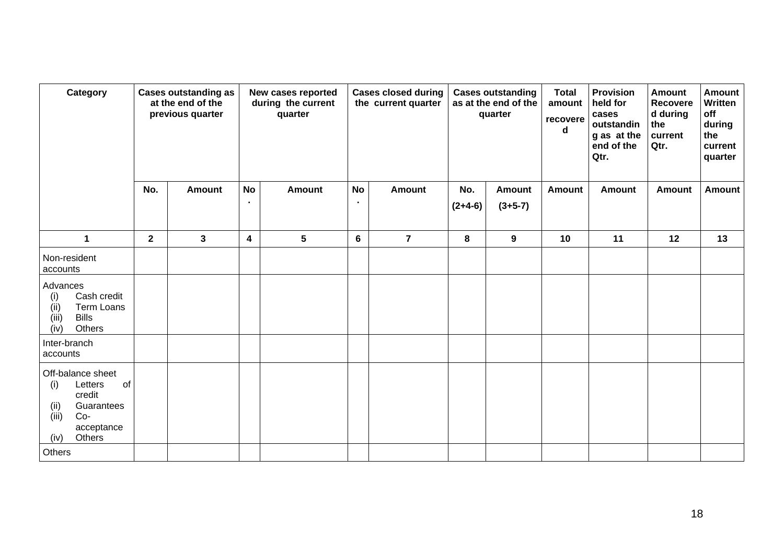| Category                                                                                                                    | <b>Cases outstanding as</b><br>at the end of the<br>previous quarter |               | New cases reported<br>during the current<br>quarter |                 |           | <b>Cases closed during</b><br>the current quarter |                       | <b>Cases outstanding</b><br>as at the end of the<br>quarter | <b>Total</b><br>amount<br>recovere<br>d | <b>Provision</b><br>held for<br>cases<br>outstandin<br>g as at the<br>end of the<br>Qtr. | <b>Amount</b><br><b>Recovere</b><br>d during<br>the<br>current<br>Qtr. | <b>Amount</b><br>Written<br>off<br>during<br>the<br>current<br>quarter |
|-----------------------------------------------------------------------------------------------------------------------------|----------------------------------------------------------------------|---------------|-----------------------------------------------------|-----------------|-----------|---------------------------------------------------|-----------------------|-------------------------------------------------------------|-----------------------------------------|------------------------------------------------------------------------------------------|------------------------------------------------------------------------|------------------------------------------------------------------------|
|                                                                                                                             | No.                                                                  | <b>Amount</b> | <b>No</b><br>$\bullet$                              | <b>Amount</b>   | <b>No</b> | <b>Amount</b>                                     | No.<br>$(2+4-6)$      | <b>Amount</b><br>$(3+5-7)$                                  | <b>Amount</b>                           | <b>Amount</b>                                                                            | <b>Amount</b>                                                          | <b>Amount</b>                                                          |
|                                                                                                                             |                                                                      |               |                                                     |                 |           |                                                   |                       |                                                             |                                         |                                                                                          |                                                                        |                                                                        |
| $\mathbf{1}$                                                                                                                | $\mathbf{2}$                                                         | $\mathbf{3}$  | $\boldsymbol{4}$                                    | $5\phantom{.0}$ | 6         | $\overline{7}$                                    | 8<br>$\boldsymbol{9}$ |                                                             | 10                                      | 11                                                                                       | 12                                                                     | 13                                                                     |
| Non-resident<br>accounts                                                                                                    |                                                                      |               |                                                     |                 |           |                                                   |                       |                                                             |                                         |                                                                                          |                                                                        |                                                                        |
| Advances<br>Cash credit<br>(i)<br>Term Loans<br>(ii)<br><b>Bills</b><br>(iii)<br>(iv)<br>Others                             |                                                                      |               |                                                     |                 |           |                                                   |                       |                                                             |                                         |                                                                                          |                                                                        |                                                                        |
| Inter-branch<br>accounts                                                                                                    |                                                                      |               |                                                     |                 |           |                                                   |                       |                                                             |                                         |                                                                                          |                                                                        |                                                                        |
| Off-balance sheet<br>Letters<br>of<br>(i)<br>credit<br>(ii)<br>Guarantees<br>(iii)<br>$Co-$<br>acceptance<br>Others<br>(iv) |                                                                      |               |                                                     |                 |           |                                                   |                       |                                                             |                                         |                                                                                          |                                                                        |                                                                        |
| Others                                                                                                                      |                                                                      |               |                                                     |                 |           |                                                   |                       |                                                             |                                         |                                                                                          |                                                                        |                                                                        |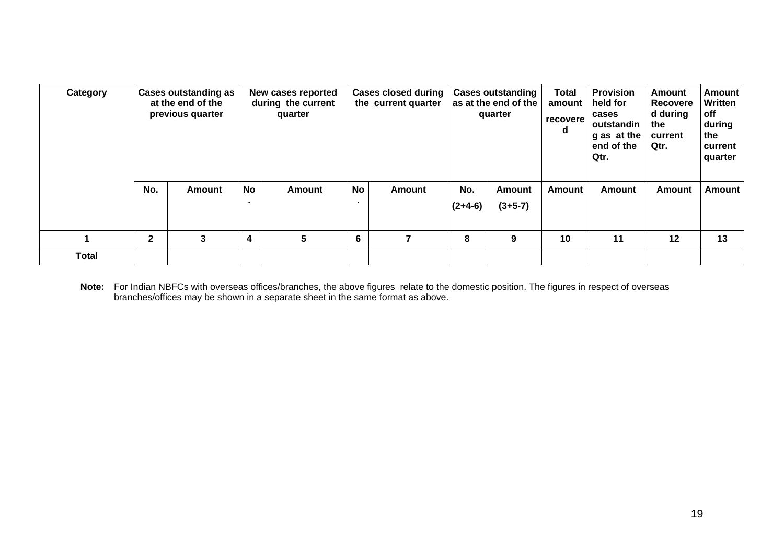| Category     |              | <b>Cases outstanding as</b><br>at the end of the<br>previous quarter |                      | New cases reported<br>during the current<br>quarter |           | <b>Cases closed during</b><br>the current quarter |                  | <b>Cases outstanding</b><br>as at the end of the<br>quarter | <b>Total</b><br>amount<br>recovere<br>d | <b>Provision</b><br>held for<br>cases<br>outstandin<br>g as at the<br>end of the<br>Qtr. | Amount<br><b>Recovere</b><br>d during<br>the<br>current<br>Qtr. | Amount<br>Written<br>off<br>during<br>the<br>current<br>quarter |  |
|--------------|--------------|----------------------------------------------------------------------|----------------------|-----------------------------------------------------|-----------|---------------------------------------------------|------------------|-------------------------------------------------------------|-----------------------------------------|------------------------------------------------------------------------------------------|-----------------------------------------------------------------|-----------------------------------------------------------------|--|
|              | No.          | <b>Amount</b>                                                        | No<br>$\blacksquare$ | <b>Amount</b>                                       | <b>No</b> | <b>Amount</b>                                     | No.<br>$(2+4-6)$ | <b>Amount</b><br>$(3+5-7)$                                  | <b>Amount</b>                           | Amount                                                                                   | Amount                                                          | Amount                                                          |  |
|              | $\mathbf{2}$ | 3                                                                    | 4                    | 5<br>6                                              |           | 7                                                 | 8                | 9                                                           | 10                                      | 11                                                                                       | 12                                                              | 13                                                              |  |
| <b>Total</b> |              |                                                                      |                      |                                                     |           |                                                   |                  |                                                             |                                         |                                                                                          |                                                                 |                                                                 |  |

**Note:** For Indian NBFCs with overseas offices/branches, the above figures relate to the domestic position. The figures in respect of overseas branches/offices may be shown in a separate sheet in the same format as above.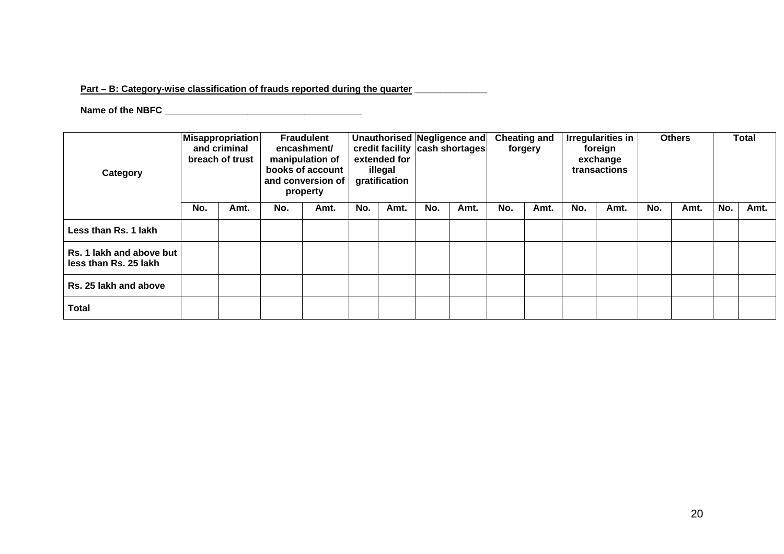## Part – B: Category-wise classification of frauds reported during the quarter **\_\_\_\_\_\_\_\_\_\_**

# **Name of the NBFC \_\_\_\_\_\_\_\_\_\_\_\_\_\_\_\_\_\_\_\_\_\_\_\_\_\_\_\_\_\_\_\_\_\_\_\_\_\_**

| Category                                          | <b>Misappropriation</b><br>and criminal<br>breach of trust |      |     | <b>Fraudulent</b><br>encashment/<br>manipulation of<br>books of account<br>and conversion of<br>property |     | extended for<br>illegal<br>gratification |     | Unauthorised Negligence and<br>credit facility cash shortages |     | <b>Cheating and</b><br>forgery |     | Irregularities in<br>foreign<br>exchange<br>transactions |     | <b>Others</b> |     | Total |  |
|---------------------------------------------------|------------------------------------------------------------|------|-----|----------------------------------------------------------------------------------------------------------|-----|------------------------------------------|-----|---------------------------------------------------------------|-----|--------------------------------|-----|----------------------------------------------------------|-----|---------------|-----|-------|--|
|                                                   | No.                                                        | Amt. | No. | Amt.                                                                                                     | No. | Amt.                                     | No. | Amt.                                                          | No. | Amt.                           | No. | Amt.                                                     | No. | Amt.          | No. | Amt.  |  |
| Less than Rs. 1 lakh                              |                                                            |      |     |                                                                                                          |     |                                          |     |                                                               |     |                                |     |                                                          |     |               |     |       |  |
| Rs. 1 lakh and above but<br>less than Rs. 25 lakh |                                                            |      |     |                                                                                                          |     |                                          |     |                                                               |     |                                |     |                                                          |     |               |     |       |  |
| Rs. 25 lakh and above                             |                                                            |      |     |                                                                                                          |     |                                          |     |                                                               |     |                                |     |                                                          |     |               |     |       |  |
| Total                                             |                                                            |      |     |                                                                                                          |     |                                          |     |                                                               |     |                                |     |                                                          |     |               |     |       |  |